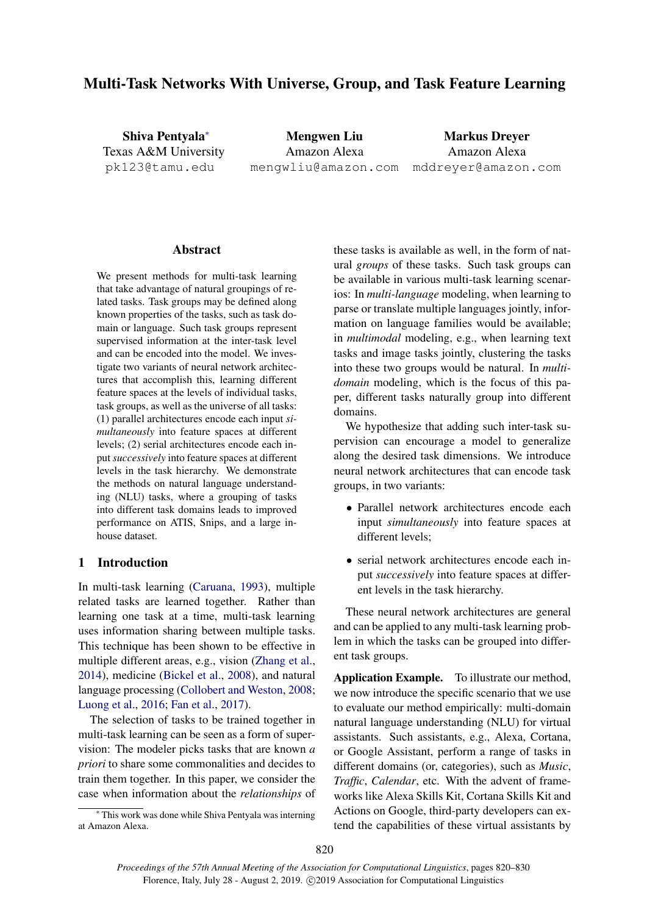# Multi-Task Networks With Universe, Group, and Task Feature Learning

Shiva Pentyala<sup>∗</sup> Texas A&M University pk123@tamu.edu

Mengwen Liu Amazon Alexa mengwliu@amazon.com mddreyer@amazon.com Markus Dreyer Amazon Alexa

# **Abstract**

We present methods for multi-task learning that take advantage of natural groupings of related tasks. Task groups may be defined along known properties of the tasks, such as task domain or language. Such task groups represent supervised information at the inter-task level and can be encoded into the model. We investigate two variants of neural network architectures that accomplish this, learning different feature spaces at the levels of individual tasks, task groups, as well as the universe of all tasks: (1) parallel architectures encode each input *simultaneously* into feature spaces at different levels; (2) serial architectures encode each input *successively* into feature spaces at different levels in the task hierarchy. We demonstrate the methods on natural language understanding (NLU) tasks, where a grouping of tasks into different task domains leads to improved performance on ATIS, Snips, and a large inhouse dataset.

# 1 Introduction

In multi-task learning [\(Caruana,](#page-9-0) [1993\)](#page-9-0), multiple related tasks are learned together. Rather than learning one task at a time, multi-task learning uses information sharing between multiple tasks. This technique has been shown to be effective in multiple different areas, e.g., vision [\(Zhang et al.,](#page-10-0) [2014\)](#page-10-0), medicine [\(Bickel et al.,](#page-9-1) [2008\)](#page-9-1), and natural language processing [\(Collobert and Weston,](#page-9-2) [2008;](#page-9-2) [Luong et al.,](#page-9-3) [2016;](#page-9-3) [Fan et al.,](#page-9-4) [2017\)](#page-9-4).

The selection of tasks to be trained together in multi-task learning can be seen as a form of supervision: The modeler picks tasks that are known *a priori* to share some commonalities and decides to train them together. In this paper, we consider the case when information about the *relationships* of

<sup>∗</sup> This work was done while Shiva Pentyala was interning at Amazon Alexa.

these tasks is available as well, in the form of natural *groups* of these tasks. Such task groups can be available in various multi-task learning scenarios: In *multi-language* modeling, when learning to parse or translate multiple languages jointly, information on language families would be available; in *multimodal* modeling, e.g., when learning text tasks and image tasks jointly, clustering the tasks into these two groups would be natural. In *multidomain* modeling, which is the focus of this paper, different tasks naturally group into different domains.

We hypothesize that adding such inter-task supervision can encourage a model to generalize along the desired task dimensions. We introduce neural network architectures that can encode task groups, in two variants:

- Parallel network architectures encode each input *simultaneously* into feature spaces at different levels;
- serial network architectures encode each input *successively* into feature spaces at different levels in the task hierarchy.

These neural network architectures are general and can be applied to any multi-task learning problem in which the tasks can be grouped into different task groups.

Application Example. To illustrate our method, we now introduce the specific scenario that we use to evaluate our method empirically: multi-domain natural language understanding (NLU) for virtual assistants. Such assistants, e.g., Alexa, Cortana, or Google Assistant, perform a range of tasks in different domains (or, categories), such as *Music*, *Traffic*, *Calendar*, etc. With the advent of frameworks like Alexa Skills Kit, Cortana Skills Kit and Actions on Google, third-party developers can extend the capabilities of these virtual assistants by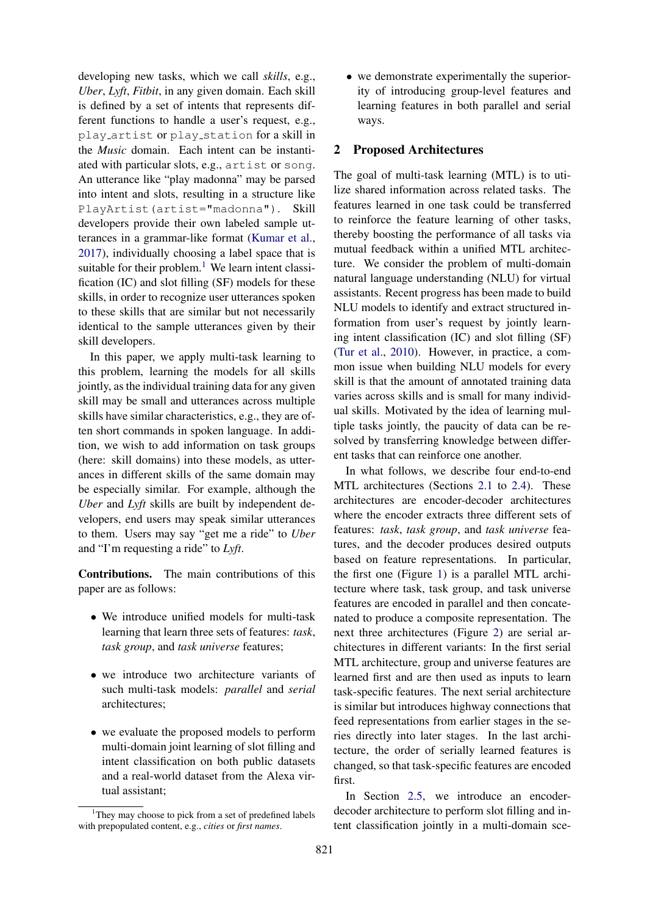developing new tasks, which we call *skills*, e.g., *Uber*, *Lyft*, *Fitbit*, in any given domain. Each skill is defined by a set of intents that represents different functions to handle a user's request, e.g., play artist or play station for a skill in the *Music* domain. Each intent can be instantiated with particular slots, e.g., artist or song. An utterance like "play madonna" may be parsed into intent and slots, resulting in a structure like PlayArtist(artist="madonna"). Skill developers provide their own labeled sample utterances in a grammar-like format [\(Kumar et al.,](#page-9-5) [2017\)](#page-9-5), individually choosing a label space that is suitable for their problem. $<sup>1</sup>$  $<sup>1</sup>$  $<sup>1</sup>$  We learn intent classi-</sup> fication (IC) and slot filling (SF) models for these skills, in order to recognize user utterances spoken to these skills that are similar but not necessarily identical to the sample utterances given by their skill developers.

In this paper, we apply multi-task learning to this problem, learning the models for all skills jointly, as the individual training data for any given skill may be small and utterances across multiple skills have similar characteristics, e.g., they are often short commands in spoken language. In addition, we wish to add information on task groups (here: skill domains) into these models, as utterances in different skills of the same domain may be especially similar. For example, although the *Uber* and *Lyft* skills are built by independent developers, end users may speak similar utterances to them. Users may say "get me a ride" to *Uber* and "I'm requesting a ride" to *Lyft*.

Contributions. The main contributions of this paper are as follows:

- We introduce unified models for multi-task learning that learn three sets of features: *task*, *task group*, and *task universe* features;
- we introduce two architecture variants of such multi-task models: *parallel* and *serial* architectures;
- we evaluate the proposed models to perform multi-domain joint learning of slot filling and intent classification on both public datasets and a real-world dataset from the Alexa virtual assistant;

• we demonstrate experimentally the superiority of introducing group-level features and learning features in both parallel and serial ways.

# 2 Proposed Architectures

The goal of multi-task learning (MTL) is to utilize shared information across related tasks. The features learned in one task could be transferred to reinforce the feature learning of other tasks, thereby boosting the performance of all tasks via mutual feedback within a unified MTL architecture. We consider the problem of multi-domain natural language understanding (NLU) for virtual assistants. Recent progress has been made to build NLU models to identify and extract structured information from user's request by jointly learning intent classification (IC) and slot filling (SF) [\(Tur et al.,](#page-10-1) [2010\)](#page-10-1). However, in practice, a common issue when building NLU models for every skill is that the amount of annotated training data varies across skills and is small for many individual skills. Motivated by the idea of learning multiple tasks jointly, the paucity of data can be resolved by transferring knowledge between different tasks that can reinforce one another.

In what follows, we describe four end-to-end MTL architectures (Sections [2.1](#page-2-0) to [2.4\)](#page-3-0). These architectures are encoder-decoder architectures where the encoder extracts three different sets of features: *task*, *task group*, and *task universe* features, and the decoder produces desired outputs based on feature representations. In particular, the first one (Figure [1\)](#page-2-1) is a parallel MTL architecture where task, task group, and task universe features are encoded in parallel and then concatenated to produce a composite representation. The next three architectures (Figure [2\)](#page-3-1) are serial architectures in different variants: In the first serial MTL architecture, group and universe features are learned first and are then used as inputs to learn task-specific features. The next serial architecture is similar but introduces highway connections that feed representations from earlier stages in the series directly into later stages. In the last architecture, the order of serially learned features is changed, so that task-specific features are encoded first.

In Section [2.5,](#page-3-2) we introduce an encoderdecoder architecture to perform slot filling and intent classification jointly in a multi-domain sce-

<span id="page-1-0"></span><sup>&</sup>lt;sup>1</sup>They may choose to pick from a set of predefined labels with prepopulated content, e.g., *cities* or *first names*.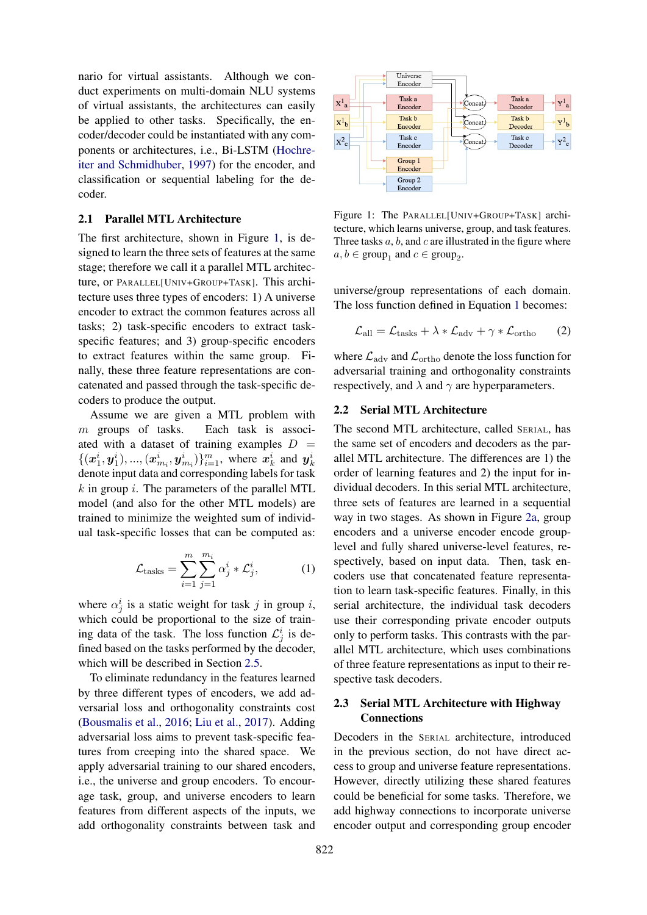nario for virtual assistants. Although we conduct experiments on multi-domain NLU systems of virtual assistants, the architectures can easily be applied to other tasks. Specifically, the encoder/decoder could be instantiated with any components or architectures, i.e., Bi-LSTM [\(Hochre](#page-9-6)[iter and Schmidhuber,](#page-9-6) [1997\)](#page-9-6) for the encoder, and classification or sequential labeling for the decoder.

# <span id="page-2-0"></span>2.1 Parallel MTL Architecture

The first architecture, shown in Figure [1,](#page-2-1) is designed to learn the three sets of features at the same stage; therefore we call it a parallel MTL architecture, or PARALLEL[UNIV+GROUP+TASK]. This architecture uses three types of encoders: 1) A universe encoder to extract the common features across all tasks; 2) task-specific encoders to extract taskspecific features; and 3) group-specific encoders to extract features within the same group. Finally, these three feature representations are concatenated and passed through the task-specific decoders to produce the output.

Assume we are given a MTL problem with m groups of tasks. Each task is associated with a dataset of training examples  $D =$  $\{(\bm{x}_1^i, \bm{y}_1^i), ..., (\bm{x}_{m_i}^i, \bm{y}_{m_i}^i)\}_{i=1}^m$ , where  $\bm{x}_k^i$  and  $\bm{y}_k^i$ denote input data and corresponding labels for task  $k$  in group  $i$ . The parameters of the parallel MTL model (and also for the other MTL models) are trained to minimize the weighted sum of individual task-specific losses that can be computed as:

<span id="page-2-2"></span>
$$
\mathcal{L}_{\text{tasks}} = \sum_{i=1}^{m} \sum_{j=1}^{m_i} \alpha_j^i * \mathcal{L}_j^i, \tag{1}
$$

where  $\alpha_j^i$  is a static weight for task j in group i, which could be proportional to the size of training data of the task. The loss function  $\mathcal{L}_j^i$  is defined based on the tasks performed by the decoder, which will be described in Section [2.5.](#page-3-2)

To eliminate redundancy in the features learned by three different types of encoders, we add adversarial loss and orthogonality constraints cost [\(Bousmalis et al.,](#page-9-7) [2016;](#page-9-7) [Liu et al.,](#page-9-8) [2017\)](#page-9-8). Adding adversarial loss aims to prevent task-specific features from creeping into the shared space. We apply adversarial training to our shared encoders, i.e., the universe and group encoders. To encourage task, group, and universe encoders to learn features from different aspects of the inputs, we add orthogonality constraints between task and

<span id="page-2-1"></span>

Figure 1: The PARALLEL[UNIV+GROUP+TASK] architecture, which learns universe, group, and task features. Three tasks  $a, b$ , and  $c$  are illustrated in the figure where  $a, b \in \text{group}_1 \text{ and } c \in \text{group}_2.$ 

universe/group representations of each domain. The loss function defined in Equation [1](#page-2-2) becomes:

$$
\mathcal{L}_{\text{all}} = \mathcal{L}_{\text{tasks}} + \lambda * \mathcal{L}_{\text{adv}} + \gamma * \mathcal{L}_{\text{ortho}} \qquad (2)
$$

where  $\mathcal{L}_{\text{adv}}$  and  $\mathcal{L}_{\text{ortho}}$  denote the loss function for adversarial training and orthogonality constraints respectively, and  $\lambda$  and  $\gamma$  are hyperparameters.

## 2.2 Serial MTL Architecture

The second MTL architecture, called SERIAL, has the same set of encoders and decoders as the parallel MTL architecture. The differences are 1) the order of learning features and 2) the input for individual decoders. In this serial MTL architecture, three sets of features are learned in a sequential way in two stages. As shown in Figure [2a,](#page-3-1) group encoders and a universe encoder encode grouplevel and fully shared universe-level features, respectively, based on input data. Then, task encoders use that concatenated feature representation to learn task-specific features. Finally, in this serial architecture, the individual task decoders use their corresponding private encoder outputs only to perform tasks. This contrasts with the parallel MTL architecture, which uses combinations of three feature representations as input to their respective task decoders.

# 2.3 Serial MTL Architecture with Highway Connections

Decoders in the SERIAL architecture, introduced in the previous section, do not have direct access to group and universe feature representations. However, directly utilizing these shared features could be beneficial for some tasks. Therefore, we add highway connections to incorporate universe encoder output and corresponding group encoder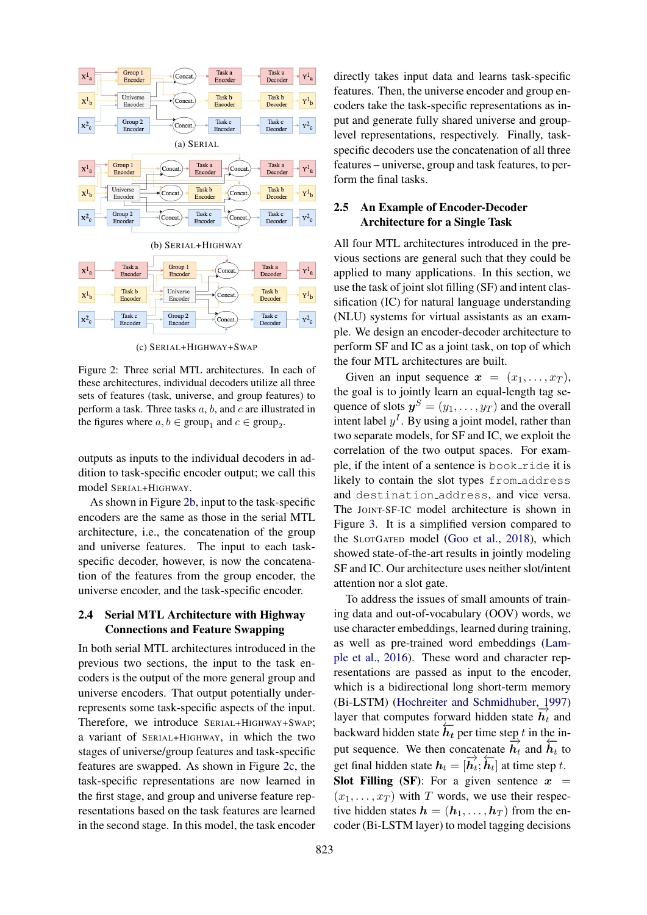<span id="page-3-1"></span>

Figure 2: Three serial MTL architectures. In each of these architectures, individual decoders utilize all three sets of features (task, universe, and group features) to perform a task. Three tasks  $a, b$ , and  $c$  are illustrated in the figures where  $a, b \in \text{group}_1$  and  $c \in \text{group}_2$ .

outputs as inputs to the individual decoders in addition to task-specific encoder output; we call this model SERIAL+HIGHWAY.

As shown in Figure [2b,](#page-3-1) input to the task-specific encoders are the same as those in the serial MTL architecture, i.e., the concatenation of the group and universe features. The input to each taskspecific decoder, however, is now the concatenation of the features from the group encoder, the universe encoder, and the task-specific encoder.

# <span id="page-3-0"></span>2.4 Serial MTL Architecture with Highway Connections and Feature Swapping

In both serial MTL architectures introduced in the previous two sections, the input to the task encoders is the output of the more general group and universe encoders. That output potentially underrepresents some task-specific aspects of the input. Therefore, we introduce SERIAL+HIGHWAY+SWAP; a variant of SERIAL+HIGHWAY, in which the two stages of universe/group features and task-specific features are swapped. As shown in Figure [2c,](#page-3-1) the task-specific representations are now learned in the first stage, and group and universe feature representations based on the task features are learned in the second stage. In this model, the task encoder

directly takes input data and learns task-specific features. Then, the universe encoder and group encoders take the task-specific representations as input and generate fully shared universe and grouplevel representations, respectively. Finally, taskspecific decoders use the concatenation of all three features – universe, group and task features, to perform the final tasks.

# <span id="page-3-2"></span>2.5 An Example of Encoder-Decoder Architecture for a Single Task

All four MTL architectures introduced in the previous sections are general such that they could be applied to many applications. In this section, we use the task of joint slot filling (SF) and intent classification (IC) for natural language understanding (NLU) systems for virtual assistants as an example. We design an encoder-decoder architecture to perform SF and IC as a joint task, on top of which the four MTL architectures are built.

Given an input sequence  $x = (x_1, \ldots, x_T)$ , the goal is to jointly learn an equal-length tag sequence of slots  $y^S = (y_1, \dots, y_T)$  and the overall intent label  $y<sup>I</sup>$ . By using a joint model, rather than two separate models, for SF and IC, we exploit the correlation of the two output spaces. For example, if the intent of a sentence is  $book\_ride$  it is likely to contain the slot types from address and destination address, and vice versa. The JOINT-SF-IC model architecture is shown in Figure [3.](#page-4-0) It is a simplified version compared to the SLOTGATED model [\(Goo et al.,](#page-9-9) [2018\)](#page-9-9), which showed state-of-the-art results in jointly modeling SF and IC. Our architecture uses neither slot/intent attention nor a slot gate.

To address the issues of small amounts of training data and out-of-vocabulary (OOV) words, we use character embeddings, learned during training, as well as pre-trained word embeddings [\(Lam](#page-9-10)[ple et al.,](#page-9-10) [2016\)](#page-9-10). These word and character representations are passed as input to the encoder, which is a bidirectional long short-term memory (Bi-LSTM) [\(Hochreiter and Schmidhuber,](#page-9-6) [1997\)](#page-9-6) layer that computes forward hidden state  $\overrightarrow{h_t}$  and backward hidden state  $\overline{h}_t$  per time step t in the input sequence. We then concatenate  $\overrightarrow{h_t}$  and  $\overleftarrow{h_t}$  to get final hidden state  $h_t = [\vec{h}_t; \vec{h}_t]$  at time step t. Slot Filling (SF): For a given sentence  $x =$  $(x_1, \ldots, x_T)$  with T words, we use their respective hidden states  $h = (h_1, \ldots, h_T)$  from the encoder (Bi-LSTM layer) to model tagging decisions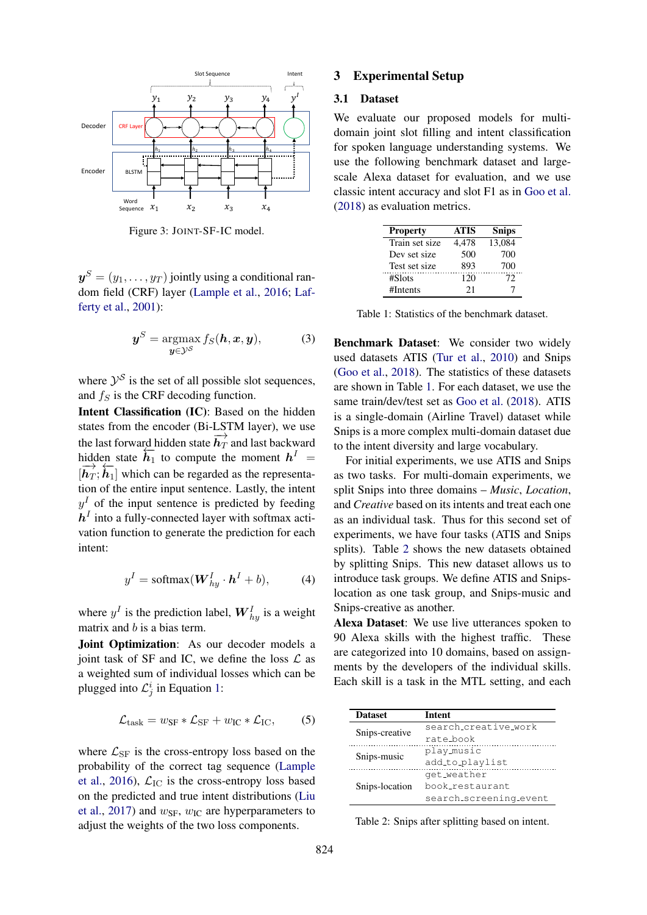<span id="page-4-0"></span>

Figure 3: JOINT-SF-IC model.

 $\bm{y}^S=(y_1,\dots,y_T)$  jointly using a conditional random field (CRF) layer [\(Lample et al.,](#page-9-10) [2016;](#page-9-10) [Laf](#page-9-11)[ferty et al.,](#page-9-11) [2001\)](#page-9-11):

$$
\boldsymbol{y}^S = \operatorname*{argmax}_{\boldsymbol{y} \in \mathcal{Y}^S} f_S(\boldsymbol{h}, \boldsymbol{x}, \boldsymbol{y}), \tag{3}
$$

where  $\mathcal{Y}^{\mathcal{S}}$  is the set of all possible slot sequences, and  $f<sub>S</sub>$  is the CRF decoding function.

Intent Classification (IC): Based on the hidden states from the encoder (Bi-LSTM layer), we use the last forward hidden state  $\overrightarrow{h_T}$  and last backward hidden state  $\overline{h_1}$  to compute the moment  $h^I =$  $[\vec{h}_T; \vec{h}_1]$  which can be regarded as the representation of the entire input sentence. Lastly, the intent  $y<sup>I</sup>$  of the input sentence is predicted by feeding  $h^I$  into a fully-connected layer with softmax activation function to generate the prediction for each intent:

$$
y^{I} = \text{softmax}(\boldsymbol{W}_{hy}^{I} \cdot \boldsymbol{h}^{I} + b), \quad (4)
$$

where  $y^I$  is the prediction label,  $\boldsymbol{W}^I_{hy}$  is a weight matrix and b is a bias term.

Joint Optimization: As our decoder models a joint task of SF and IC, we define the loss  $\mathcal L$  as a weighted sum of individual losses which can be plugged into  $\mathcal{L}_j^i$  in Equation [1:](#page-2-2)

$$
\mathcal{L}_{\text{task}} = w_{\text{SF}} * \mathcal{L}_{\text{SF}} + w_{\text{IC}} * \mathcal{L}_{\text{IC}}, \qquad (5)
$$

where  $\mathcal{L}_{\rm SF}$  is the cross-entropy loss based on the probability of the correct tag sequence [\(Lample](#page-9-10) [et al.,](#page-9-10) [2016\)](#page-9-10),  $\mathcal{L}_{\text{IC}}$  is the cross-entropy loss based on the predicted and true intent distributions [\(Liu](#page-9-8) [et al.,](#page-9-8) [2017\)](#page-9-8) and  $w_{\rm SF}$ ,  $w_{\rm IC}$  are hyperparameters to adjust the weights of the two loss components.

### 3 Experimental Setup

#### 3.1 Dataset

We evaluate our proposed models for multidomain joint slot filling and intent classification for spoken language understanding systems. We use the following benchmark dataset and largescale Alexa dataset for evaluation, and we use classic intent accuracy and slot F1 as in [Goo et al.](#page-9-9) [\(2018\)](#page-9-9) as evaluation metrics.

<span id="page-4-1"></span>

| <b>Property</b> | <b>ATIS</b> | <b>Snips</b> |
|-----------------|-------------|--------------|
| Train set size  | 4.478       | 13,084       |
| Dev set size    | 500         | 700          |
| Test set size   | 893         | 700          |
| #Slots          | 120         | 72.          |
| #Intents        | 21          |              |

Table 1: Statistics of the benchmark dataset.

Benchmark Dataset: We consider two widely used datasets ATIS [\(Tur et al.,](#page-10-1) [2010\)](#page-10-1) and Snips [\(Goo et al.,](#page-9-9) [2018\)](#page-9-9). The statistics of these datasets are shown in Table [1.](#page-4-1) For each dataset, we use the same train/dev/test set as [Goo et al.](#page-9-9) [\(2018\)](#page-9-9). ATIS is a single-domain (Airline Travel) dataset while Snips is a more complex multi-domain dataset due to the intent diversity and large vocabulary.

For initial experiments, we use ATIS and Snips as two tasks. For multi-domain experiments, we split Snips into three domains – *Music*, *Location*, and *Creative* based on its intents and treat each one as an individual task. Thus for this second set of experiments, we have four tasks (ATIS and Snips splits). Table [2](#page-4-2) shows the new datasets obtained by splitting Snips. This new dataset allows us to introduce task groups. We define ATIS and Snipslocation as one task group, and Snips-music and Snips-creative as another.

Alexa Dataset: We use live utterances spoken to 90 Alexa skills with the highest traffic. These are categorized into 10 domains, based on assignments by the developers of the individual skills. Each skill is a task in the MTL setting, and each

<span id="page-4-2"></span>

| <b>Dataset</b> | Intent                 |
|----------------|------------------------|
| Snips-creative | search creative work   |
|                | rate_book              |
|                | play_music             |
| Snips-music    | add_to_playlist        |
|                | get_weather            |
| Snips-location | book_restaurant        |
|                | search_screening_event |

Table 2: Snips after splitting based on intent.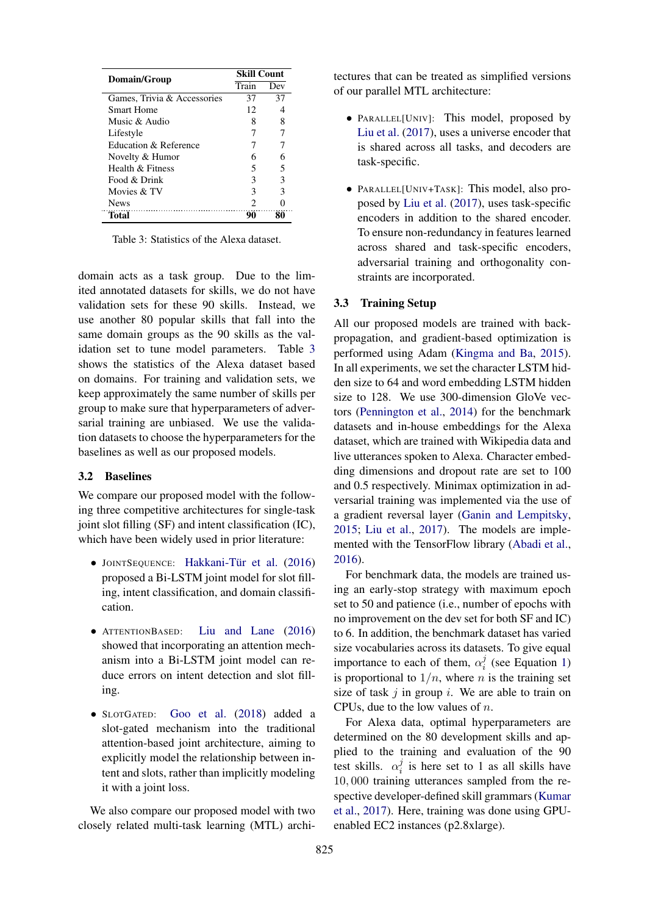<span id="page-5-0"></span>

| Domain/Group                | <b>Skill Count</b> |     |
|-----------------------------|--------------------|-----|
|                             | Train              | Dev |
| Games, Trivia & Accessories | 37                 | 37  |
| <b>Smart Home</b>           | 12                 |     |
| Music $\&$ Audio            | 8                  | 8   |
| Lifestyle                   |                    |     |
| Education & Reference       |                    |     |
| Novelty & Humor             |                    |     |
| Health $\&$ Fitness         | 5                  | 5   |
| Food & Drink                | 3                  | 3   |
| Movies & TV                 | 3                  | 3   |
| <b>News</b>                 | 2                  |     |
| Total                       |                    |     |

Table 3: Statistics of the Alexa dataset.

domain acts as a task group. Due to the limited annotated datasets for skills, we do not have validation sets for these 90 skills. Instead, we use another 80 popular skills that fall into the same domain groups as the 90 skills as the validation set to tune model parameters. Table [3](#page-5-0) shows the statistics of the Alexa dataset based on domains. For training and validation sets, we keep approximately the same number of skills per group to make sure that hyperparameters of adversarial training are unbiased. We use the validation datasets to choose the hyperparameters for the baselines as well as our proposed models.

# 3.2 Baselines

We compare our proposed model with the following three competitive architectures for single-task joint slot filling (SF) and intent classification (IC), which have been widely used in prior literature:

- JOINTSEQUENCE: Hakkani-Tür et al. [\(2016\)](#page-9-12) proposed a Bi-LSTM joint model for slot filling, intent classification, and domain classification.
- ATTENTIONBASED: [Liu and Lane](#page-9-13) [\(2016\)](#page-9-13) showed that incorporating an attention mechanism into a Bi-LSTM joint model can reduce errors on intent detection and slot filling.
- SLOTGATED: [Goo et al.](#page-9-9) [\(2018\)](#page-9-9) added a slot-gated mechanism into the traditional attention-based joint architecture, aiming to explicitly model the relationship between intent and slots, rather than implicitly modeling it with a joint loss.

We also compare our proposed model with two closely related multi-task learning (MTL) architectures that can be treated as simplified versions of our parallel MTL architecture:

- PARALLEL[UNIV]: This model, proposed by [Liu et al.](#page-9-8) [\(2017\)](#page-9-8), uses a universe encoder that is shared across all tasks, and decoders are task-specific.
- PARALLEL[UNIV+TASK]: This model, also proposed by [Liu et al.](#page-9-8) [\(2017\)](#page-9-8), uses task-specific encoders in addition to the shared encoder. To ensure non-redundancy in features learned across shared and task-specific encoders, adversarial training and orthogonality constraints are incorporated.

#### 3.3 Training Setup

All our proposed models are trained with backpropagation, and gradient-based optimization is performed using Adam [\(Kingma and Ba,](#page-9-14) [2015\)](#page-9-14). In all experiments, we set the character LSTM hidden size to 64 and word embedding LSTM hidden size to 128. We use 300-dimension GloVe vectors [\(Pennington et al.,](#page-10-2) [2014\)](#page-10-2) for the benchmark datasets and in-house embeddings for the Alexa dataset, which are trained with Wikipedia data and live utterances spoken to Alexa. Character embedding dimensions and dropout rate are set to 100 and 0.5 respectively. Minimax optimization in adversarial training was implemented via the use of a gradient reversal layer [\(Ganin and Lempitsky,](#page-9-15) [2015;](#page-9-15) [Liu et al.,](#page-9-8) [2017\)](#page-9-8). The models are implemented with the TensorFlow library [\(Abadi et al.,](#page-9-16) [2016\)](#page-9-16).

For benchmark data, the models are trained using an early-stop strategy with maximum epoch set to 50 and patience (i.e., number of epochs with no improvement on the dev set for both SF and IC) to 6. In addition, the benchmark dataset has varied size vocabularies across its datasets. To give equal importance to each of them,  $\alpha_i^j$  $i<sub>i</sub>$  (see Equation [1\)](#page-2-2) is proportional to  $1/n$ , where *n* is the training set size of task  $j$  in group  $i$ . We are able to train on CPUs, due to the low values of  $n$ .

For Alexa data, optimal hyperparameters are determined on the 80 development skills and applied to the training and evaluation of the 90 test skills.  $\alpha_i^j$  $i<sub>i</sub>$  is here set to 1 as all skills have 10, 000 training utterances sampled from the respective developer-defined skill grammars [\(Kumar](#page-9-5) [et al.,](#page-9-5) [2017\)](#page-9-5). Here, training was done using GPUenabled EC2 instances (p2.8xlarge).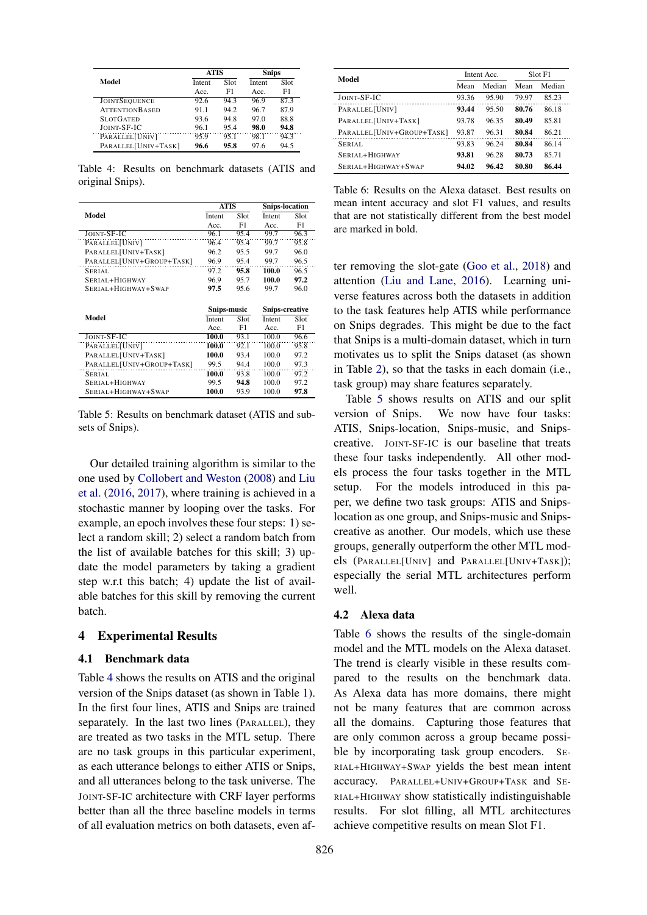<span id="page-6-0"></span>

|                       | <b>ATIS</b> |      | <b>Snips</b> |      |  |
|-----------------------|-------------|------|--------------|------|--|
| Model                 | Intent      | Slot | Intent       | Slot |  |
|                       | Acc.        | F1   | Acc.         | F1   |  |
| <b>JOINTSEQUENCE</b>  | 92.6        | 94.3 | 96.9         | 87.3 |  |
| <b>ATTENTIONBASED</b> | 91.1        | 94.2 | 96.7         | 87.9 |  |
| <b>SLOTGATED</b>      | 93.6        | 94.8 | 97.0         | 88.8 |  |
| JOINT-SF-IC           | 96.1        | 95.4 | 98.0         | 94.8 |  |
| PARALLEL[UNIV]        | 95.9        | 95.1 | 98.1         | 94.3 |  |
| PARALLEL[UNIV+TASK]   | 96.6        | 95.8 | 97.6         | 94.5 |  |

Table 4: Results on benchmark datasets (ATIS and original Snips).

<span id="page-6-1"></span>

|                           | <b>ATIS</b>        |      | <b>Snips-location</b> |      |  |
|---------------------------|--------------------|------|-----------------------|------|--|
| Model                     | Intent             | Slot | Intent                | Slot |  |
|                           | Acc.               | F1   | Acc.                  | F1   |  |
| JOINT-SF-IC               | 96.1               | 95.4 | 99.7                  | 96.3 |  |
| PARALLEL[UNIV]            | 96.4               | 95.4 | 99.7                  | 95.8 |  |
| PARALLEL[UNIV+TASK]       | 96.2               | 95.5 | 99.7                  | 96.0 |  |
| PARALLEL[UNIV+GROUP+TASK] | 96.9               | 95.4 | 99.7                  | 96.5 |  |
| SERIAL                    | 97.2               | 95.8 | 100.0                 | 96.5 |  |
| SERIAL+HIGHWAY            | 96.9               | 95.7 | 100.0                 | 97.2 |  |
| SERIAL+HIGHWAY+SWAP       | 97.5               | 95.6 | 99.7                  | 96.0 |  |
|                           |                    |      |                       |      |  |
|                           |                    |      |                       |      |  |
|                           | <b>Snips-music</b> |      | <b>Snips-creative</b> |      |  |
| Model                     | Intent             | Slot | Intent                | Slot |  |
|                           | Acc.               | F1   | Acc.                  | F1   |  |
| <b>JOINT-SF-IC</b>        | 100.0              | 93.1 | 100.0                 | 96.6 |  |
| PARALLEL[UNIV]            | 100.0              | 92.1 | 100.0                 | 95.8 |  |
| PARALLEL[UNIV+TASK]       | 100.0              | 93.4 | 100.0                 | 97.2 |  |
| PARALLEL[UNIV+GROUP+TASK] | 99.5               | 94.4 | 100.0                 | 97.3 |  |
| SERIAL                    | 100.0              | 93.8 | 100.0                 | 97.2 |  |
| SERIAL+HIGHWAY            | 99.5               | 94.8 | 100.0                 | 97.2 |  |

Table 5: Results on benchmark dataset (ATIS and subsets of Snips).

Our detailed training algorithm is similar to the one used by [Collobert and Weston](#page-9-2) [\(2008\)](#page-9-2) and [Liu](#page-9-17) [et al.](#page-9-17) [\(2016,](#page-9-17) [2017\)](#page-9-8), where training is achieved in a stochastic manner by looping over the tasks. For example, an epoch involves these four steps: 1) select a random skill; 2) select a random batch from the list of available batches for this skill; 3) update the model parameters by taking a gradient step w.r.t this batch; 4) update the list of available batches for this skill by removing the current batch.

#### 4 Experimental Results

## 4.1 Benchmark data

Table [4](#page-6-0) shows the results on ATIS and the original version of the Snips dataset (as shown in Table [1\)](#page-4-1). In the first four lines, ATIS and Snips are trained separately. In the last two lines (PARALLEL), they are treated as two tasks in the MTL setup. There are no task groups in this particular experiment, as each utterance belongs to either ATIS or Snips, and all utterances belong to the task universe. The JOINT-SF-IC architecture with CRF layer performs better than all the three baseline models in terms of all evaluation metrics on both datasets, even af-

<span id="page-6-2"></span>

| Model                     |       | Intent Acc. | Slot F1 |        |  |
|---------------------------|-------|-------------|---------|--------|--|
|                           | Mean  | Median      | Mean    | Median |  |
| <b>JOINT-SE-IC</b>        | 93.36 | 95.90       | 79.97   | 85.23  |  |
| PARALLEL[UNIV]            | 93.44 | 95.50       | 80.76   | 86.18  |  |
| PARALLEL[UNIV+TASK]       | 93.78 | 96.35       | 80.49   | 85.81  |  |
| PARALLEL[UNIV+GROUP+TASK] | 93.87 | 96.31       | 80.84   | 86.21  |  |
| SERIAL.                   | 93.83 | 96.24       | 80.84   | 86.14  |  |
| SERIAL+HIGHWAY            | 93.81 | 96.28       | 80.73   | 85.71  |  |
| SERIAL+HIGHWAY+SWAP       | 94.02 | 96.42       | 80.80   | 86.44  |  |

Table 6: Results on the Alexa dataset. Best results on mean intent accuracy and slot F1 values, and results that are not statistically different from the best model are marked in bold.

ter removing the slot-gate [\(Goo et al.,](#page-9-9) [2018\)](#page-9-9) and attention [\(Liu and Lane,](#page-9-13) [2016\)](#page-9-13). Learning universe features across both the datasets in addition to the task features help ATIS while performance on Snips degrades. This might be due to the fact that Snips is a multi-domain dataset, which in turn motivates us to split the Snips dataset (as shown in Table [2\)](#page-4-2), so that the tasks in each domain (i.e., task group) may share features separately.

Table [5](#page-6-1) shows results on ATIS and our split version of Snips. We now have four tasks: ATIS, Snips-location, Snips-music, and Snipscreative. JOINT-SF-IC is our baseline that treats these four tasks independently. All other models process the four tasks together in the MTL setup. For the models introduced in this paper, we define two task groups: ATIS and Snipslocation as one group, and Snips-music and Snipscreative as another. Our models, which use these groups, generally outperform the other MTL models (PARALLEL[UNIV] and PARALLEL[UNIV+TASK]); especially the serial MTL architectures perform well.

#### 4.2 Alexa data

Table [6](#page-6-2) shows the results of the single-domain model and the MTL models on the Alexa dataset. The trend is clearly visible in these results compared to the results on the benchmark data. As Alexa data has more domains, there might not be many features that are common across all the domains. Capturing those features that are only common across a group became possible by incorporating task group encoders. SE-RIAL+HIGHWAY+SWAP yields the best mean intent accuracy. PARALLEL+UNIV+GROUP+TASK and SE-RIAL+HIGHWAY show statistically indistinguishable results. For slot filling, all MTL architectures achieve competitive results on mean Slot F1.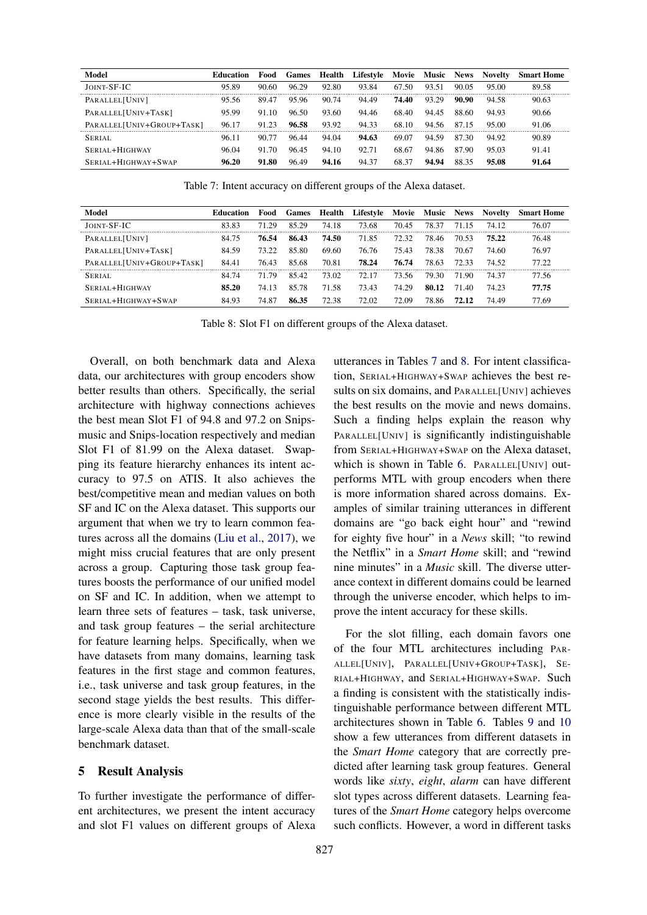<span id="page-7-0"></span>

| Model                     | <b>Education</b> | Food  | Games | Health | Lifestyle | Movie | Music | <b>News</b> | <b>Novelty</b> | <b>Smart Home</b> |
|---------------------------|------------------|-------|-------|--------|-----------|-------|-------|-------------|----------------|-------------------|
| <b>JOINT-SF-IC</b>        | 95.89            | 90.60 | 96.29 | 92.80  | 93.84     | 67.50 | 93.51 | 90.05       | 95.00          | 89.58             |
| PARALLEL[UNIV]            | 95.56            | 89.47 | 95.96 | 90.74  | 94.49     | 74.40 | 93.29 | 90.90       | 94.58          | 90.63             |
| PARALLEL [UNIV+TASK]      | 95.99            | 91.10 | 96.50 | 93.60  | 94.46     | 68.40 | 94.45 | 88.60       | 94.93          | 90.66             |
| PARALLEL[UNIV+GROUP+TASK] | 96.17            | 91.23 | 96.58 | 93.92  | 94.33     | 68.10 | 94.56 | 87.15       | 95.00          | 91.06             |
| SERIAL                    | 96.11            | 90.77 | 96.44 | 94.04  | 94.63     | 69.07 | 94.59 | 87.30       | 94.92          | 90.89             |
| SERIAL+HIGHWAY            | 96.04            | 91.70 | 96.45 | 94.10  | 92.71     | 68.67 | 94.86 | 87.90       | 95.03          | 91.41             |
| SERIAL+HIGHWAY+SWAP       | 96.20            | 91.80 | 96.49 | 94.16  | 94.37     | 68.37 | 94.94 | 88.35       | 95.08          | 91.64             |

Table 7: Intent accuracy on different groups of the Alexa dataset.

<span id="page-7-1"></span>

| Model                     | Education | Food  | Games | Health | Lifestyle | Movie | Music | <b>News</b> | <b>Novelty</b> | <b>Smart Home</b> |
|---------------------------|-----------|-------|-------|--------|-----------|-------|-------|-------------|----------------|-------------------|
| JOINT-SF-IC               | 83.83     | 71.29 | 85.29 | 74.18  | 73.68     | 70.45 | 78.37 | 71 15       | 74.12          | 76.07             |
| PARALLEL[UNIV]            | 84.75     | 76.54 | 86.43 | 74.50  | 71.85     | 72.32 | 78.46 | 70.53       | 75.22          | 76.48             |
| PARALLEL[UNIV+TASK]       | 84.59     | 73.22 | 85.80 | 69.60  | 76.76     | 75.43 | 78.38 | 70.67       | 74.60          | 76.97             |
| PARALLEL[UNIV+GROUP+TASK] | 84.41     | 76.43 | 85.68 | 70.81  | 78.24     | 76.74 | 78.63 | 72.33       | 74.52          | 77.22             |
| SERIAL                    | 84.74     | 71 79 | 85.42 | 73.02  | 72.17     | 73.56 | 79.30 | 71 90       | 74.37          | 77.56             |
| SERIAL+HIGHWAY            | 85.20     | 74.13 | 85.78 | 71.58  | 73.43     | 74.29 | 80.12 | 71.40       | 74.23          | 77.75             |
| SERIAL+HIGHWAY+SWAP       | 84.93     | 74.87 | 86.35 | 72.38  | 72.02     | 72.09 | 78.86 | 72.12       | 74.49          | 77.69             |

Table 8: Slot F1 on different groups of the Alexa dataset.

Overall, on both benchmark data and Alexa data, our architectures with group encoders show better results than others. Specifically, the serial architecture with highway connections achieves the best mean Slot F1 of 94.8 and 97.2 on Snipsmusic and Snips-location respectively and median Slot F1 of 81.99 on the Alexa dataset. Swapping its feature hierarchy enhances its intent accuracy to 97.5 on ATIS. It also achieves the best/competitive mean and median values on both SF and IC on the Alexa dataset. This supports our argument that when we try to learn common features across all the domains [\(Liu et al.,](#page-9-8) [2017\)](#page-9-8), we might miss crucial features that are only present across a group. Capturing those task group features boosts the performance of our unified model on SF and IC. In addition, when we attempt to learn three sets of features – task, task universe, and task group features – the serial architecture for feature learning helps. Specifically, when we have datasets from many domains, learning task features in the first stage and common features, i.e., task universe and task group features, in the second stage yields the best results. This difference is more clearly visible in the results of the large-scale Alexa data than that of the small-scale benchmark dataset.

#### 5 Result Analysis

To further investigate the performance of different architectures, we present the intent accuracy and slot F1 values on different groups of Alexa utterances in Tables [7](#page-7-0) and [8.](#page-7-1) For intent classification, SERIAL+HIGHWAY+SWAP achieves the best results on six domains, and PARALLEL[UNIV] achieves the best results on the movie and news domains. Such a finding helps explain the reason why PARALLEL[UNIV] is significantly indistinguishable from SERIAL+HIGHWAY+SWAP on the Alexa dataset, which is shown in Table [6.](#page-6-2) PARALLEL[UNIV] outperforms MTL with group encoders when there is more information shared across domains. Examples of similar training utterances in different domains are "go back eight hour" and "rewind for eighty five hour" in a *News* skill; "to rewind the Netflix" in a *Smart Home* skill; and "rewind nine minutes" in a *Music* skill. The diverse utterance context in different domains could be learned through the universe encoder, which helps to improve the intent accuracy for these skills.

For the slot filling, each domain favors one of the four MTL architectures including PAR-ALLEL[UNIV], PARALLEL[UNIV+GROUP+TASK], SE-RIAL+HIGHWAY, and SERIAL+HIGHWAY+SWAP. Such a finding is consistent with the statistically indistinguishable performance between different MTL architectures shown in Table [6.](#page-6-2) Tables [9](#page-8-0) and [10](#page-8-1) show a few utterances from different datasets in the *Smart Home* category that are correctly predicted after learning task group features. General words like *sixty*, *eight*, *alarm* can have different slot types across different datasets. Learning features of the *Smart Home* category helps overcome such conflicts. However, a word in different tasks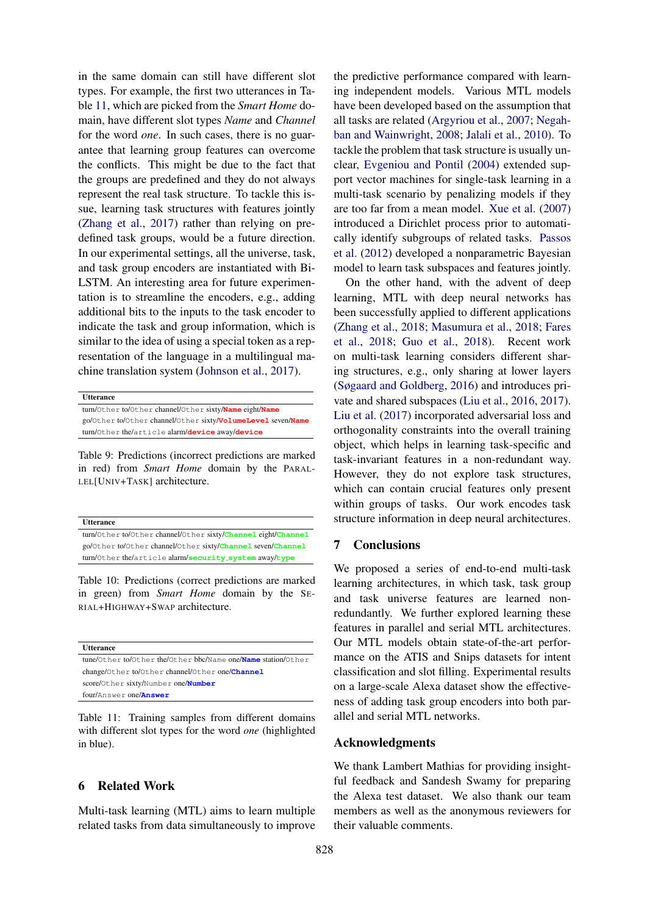in the same domain can still have different slot types. For example, the first two utterances in Table [11,](#page-8-2) which are picked from the *Smart Home* domain, have different slot types *Name* and *Channel* for the word *one*. In such cases, there is no guarantee that learning group features can overcome the conflicts. This might be due to the fact that the groups are predefined and they do not always represent the real task structure. To tackle this issue, learning task structures with features jointly [\(Zhang et al.,](#page-10-3) [2017\)](#page-10-3) rather than relying on predefined task groups, would be a future direction. In our experimental settings, all the universe, task, and task group encoders are instantiated with Bi-LSTM. An interesting area for future experimentation is to streamline the encoders, e.g., adding additional bits to the inputs to the task encoder to indicate the task and group information, which is similar to the idea of using a special token as a representation of the language in a multilingual machine translation system [\(Johnson et al.,](#page-9-18) [2017\)](#page-9-18).

<span id="page-8-0"></span>**Utterance** 

turn/Other to/Other channel/Other sixty/**Name** eight/**Name** go/Other to/Other channel/Other sixty/**VolumeLevel** seven/**Name** turn/Other the/article alarm/**device** away/**device**

Table 9: Predictions (incorrect predictions are marked in red) from *Smart Home* domain by the PARAL-LEL[UNIV+TASK] architecture.

<span id="page-8-1"></span>**Utterance** 

turn/Other to/Other channel/Other sixty/**Channel** eight/**Channel** go/Other to/Other channel/Other sixty/**Channel** seven/**Channel** turn/Other the/article alarm/**security system** away/**type**

Table 10: Predictions (correct predictions are marked in green) from *Smart Home* domain by the SE-RIAL+HIGHWAY+SWAP architecture.

<span id="page-8-2"></span>**Utterance** tune/Other to/Other the/Other bbc/Name one/**Name** station/Other change/Other to/Other channel/Other one/**Channel** score/Other sixty/Number one/**Number** four/Answer one/**Answer**

Table 11: Training samples from different domains with different slot types for the word *one* (highlighted in blue).

#### 6 Related Work

Multi-task learning (MTL) aims to learn multiple related tasks from data simultaneously to improve

the predictive performance compared with learning independent models. Various MTL models have been developed based on the assumption that all tasks are related [\(Argyriou et al.,](#page-9-19) [2007;](#page-9-19) [Negah](#page-9-20)[ban and Wainwright,](#page-9-20) [2008;](#page-9-20) [Jalali et al.,](#page-9-21) [2010\)](#page-9-21). To tackle the problem that task structure is usually unclear, [Evgeniou and Pontil](#page-9-22) [\(2004\)](#page-9-22) extended support vector machines for single-task learning in a multi-task scenario by penalizing models if they are too far from a mean model. [Xue et al.](#page-10-4) [\(2007\)](#page-10-4) introduced a Dirichlet process prior to automatically identify subgroups of related tasks. [Passos](#page-10-5) [et al.](#page-10-5) [\(2012\)](#page-10-5) developed a nonparametric Bayesian model to learn task subspaces and features jointly.

On the other hand, with the advent of deep learning, MTL with deep neural networks has been successfully applied to different applications [\(Zhang et al.,](#page-10-6) [2018;](#page-10-6) [Masumura et al.,](#page-9-23) [2018;](#page-9-23) [Fares](#page-9-24) [et al.,](#page-9-24) [2018;](#page-9-24) [Guo et al.,](#page-9-25) [2018\)](#page-9-25). Recent work on multi-task learning considers different sharing structures, e.g., only sharing at lower layers [\(Søgaard and Goldberg,](#page-10-7) [2016\)](#page-10-7) and introduces private and shared subspaces [\(Liu et al.,](#page-9-17) [2016,](#page-9-17) [2017\)](#page-9-8). [Liu et al.](#page-9-8) [\(2017\)](#page-9-8) incorporated adversarial loss and orthogonality constraints into the overall training object, which helps in learning task-specific and task-invariant features in a non-redundant way. However, they do not explore task structures, which can contain crucial features only present within groups of tasks. Our work encodes task structure information in deep neural architectures.

#### 7 Conclusions

We proposed a series of end-to-end multi-task learning architectures, in which task, task group and task universe features are learned nonredundantly. We further explored learning these features in parallel and serial MTL architectures. Our MTL models obtain state-of-the-art performance on the ATIS and Snips datasets for intent classification and slot filling. Experimental results on a large-scale Alexa dataset show the effectiveness of adding task group encoders into both parallel and serial MTL networks.

#### Acknowledgments

We thank Lambert Mathias for providing insightful feedback and Sandesh Swamy for preparing the Alexa test dataset. We also thank our team members as well as the anonymous reviewers for their valuable comments.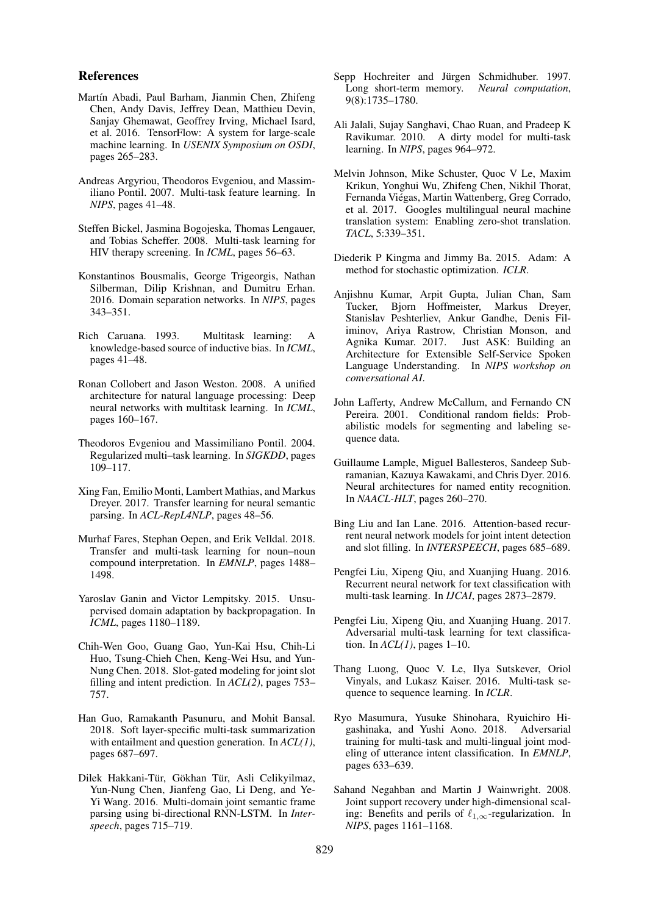#### References

- <span id="page-9-16"></span>Martín Abadi, Paul Barham, Jianmin Chen, Zhifeng Chen, Andy Davis, Jeffrey Dean, Matthieu Devin, Sanjay Ghemawat, Geoffrey Irving, Michael Isard, et al. 2016. TensorFlow: A system for large-scale machine learning. In *USENIX Symposium on OSDI*, pages 265–283.
- <span id="page-9-19"></span>Andreas Argyriou, Theodoros Evgeniou, and Massimiliano Pontil. 2007. Multi-task feature learning. In *NIPS*, pages 41–48.
- <span id="page-9-1"></span>Steffen Bickel, Jasmina Bogojeska, Thomas Lengauer, and Tobias Scheffer. 2008. Multi-task learning for HIV therapy screening. In *ICML*, pages 56–63.
- <span id="page-9-7"></span>Konstantinos Bousmalis, George Trigeorgis, Nathan Silberman, Dilip Krishnan, and Dumitru Erhan. 2016. Domain separation networks. In *NIPS*, pages 343–351.
- <span id="page-9-0"></span>Rich Caruana. 1993. Multitask learning: A knowledge-based source of inductive bias. In *ICML*, pages 41–48.
- <span id="page-9-2"></span>Ronan Collobert and Jason Weston. 2008. A unified architecture for natural language processing: Deep neural networks with multitask learning. In *ICML*, pages 160–167.
- <span id="page-9-22"></span>Theodoros Evgeniou and Massimiliano Pontil. 2004. Regularized multi–task learning. In *SIGKDD*, pages 109–117.
- <span id="page-9-4"></span>Xing Fan, Emilio Monti, Lambert Mathias, and Markus Dreyer. 2017. Transfer learning for neural semantic parsing. In *ACL-RepL4NLP*, pages 48–56.
- <span id="page-9-24"></span>Murhaf Fares, Stephan Oepen, and Erik Velldal. 2018. Transfer and multi-task learning for noun–noun compound interpretation. In *EMNLP*, pages 1488– 1498.
- <span id="page-9-15"></span>Yaroslav Ganin and Victor Lempitsky. 2015. Unsupervised domain adaptation by backpropagation. In *ICML*, pages 1180–1189.
- <span id="page-9-9"></span>Chih-Wen Goo, Guang Gao, Yun-Kai Hsu, Chih-Li Huo, Tsung-Chieh Chen, Keng-Wei Hsu, and Yun-Nung Chen. 2018. Slot-gated modeling for joint slot filling and intent prediction. In *ACL(2)*, pages 753– 757.
- <span id="page-9-25"></span>Han Guo, Ramakanth Pasunuru, and Mohit Bansal. 2018. Soft layer-specific multi-task summarization with entailment and question generation. In *ACL(1)*, pages 687–697.
- <span id="page-9-12"></span>Dilek Hakkani-Tür, Gökhan Tür, Asli Celikyilmaz, Yun-Nung Chen, Jianfeng Gao, Li Deng, and Ye-Yi Wang. 2016. Multi-domain joint semantic frame parsing using bi-directional RNN-LSTM. In *Interspeech*, pages 715–719.
- <span id="page-9-6"></span>Sepp Hochreiter and Jürgen Schmidhuber. 1997. Long short-term memory. *Neural computation*, 9(8):1735–1780.
- <span id="page-9-21"></span>Ali Jalali, Sujay Sanghavi, Chao Ruan, and Pradeep K Ravikumar. 2010. A dirty model for multi-task learning. In *NIPS*, pages 964–972.
- <span id="page-9-18"></span>Melvin Johnson, Mike Schuster, Quoc V Le, Maxim Krikun, Yonghui Wu, Zhifeng Chen, Nikhil Thorat, Fernanda Viegas, Martin Wattenberg, Greg Corrado, ´ et al. 2017. Googles multilingual neural machine translation system: Enabling zero-shot translation. *TACL*, 5:339–351.
- <span id="page-9-14"></span>Diederik P Kingma and Jimmy Ba. 2015. Adam: A method for stochastic optimization. *ICLR*.
- <span id="page-9-5"></span>Anjishnu Kumar, Arpit Gupta, Julian Chan, Sam Tucker, Bjorn Hoffmeister, Markus Dreyer, Stanislav Peshterliev, Ankur Gandhe, Denis Filiminov, Ariya Rastrow, Christian Monson, and Agnika Kumar. 2017. Just ASK: Building an Architecture for Extensible Self-Service Spoken Language Understanding. In *NIPS workshop on conversational AI*.
- <span id="page-9-11"></span>John Lafferty, Andrew McCallum, and Fernando CN Pereira. 2001. Conditional random fields: Probabilistic models for segmenting and labeling sequence data.
- <span id="page-9-10"></span>Guillaume Lample, Miguel Ballesteros, Sandeep Subramanian, Kazuya Kawakami, and Chris Dyer. 2016. Neural architectures for named entity recognition. In *NAACL-HLT*, pages 260–270.
- <span id="page-9-13"></span>Bing Liu and Ian Lane. 2016. Attention-based recurrent neural network models for joint intent detection and slot filling. In *INTERSPEECH*, pages 685–689.
- <span id="page-9-17"></span>Pengfei Liu, Xipeng Qiu, and Xuanjing Huang. 2016. Recurrent neural network for text classification with multi-task learning. In *IJCAI*, pages 2873–2879.
- <span id="page-9-8"></span>Pengfei Liu, Xipeng Qiu, and Xuanjing Huang. 2017. Adversarial multi-task learning for text classification. In *ACL(1)*, pages 1–10.
- <span id="page-9-3"></span>Thang Luong, Quoc V. Le, Ilya Sutskever, Oriol Vinyals, and Lukasz Kaiser. 2016. Multi-task sequence to sequence learning. In *ICLR*.
- <span id="page-9-23"></span>Ryo Masumura, Yusuke Shinohara, Ryuichiro Higashinaka, and Yushi Aono. 2018. Adversarial training for multi-task and multi-lingual joint modeling of utterance intent classification. In *EMNLP*, pages 633–639.
- <span id="page-9-20"></span>Sahand Negahban and Martin J Wainwright. 2008. Joint support recovery under high-dimensional scaling: Benefits and perils of  $\ell_{1,\infty}$ -regularization. In *NIPS*, pages 1161–1168.